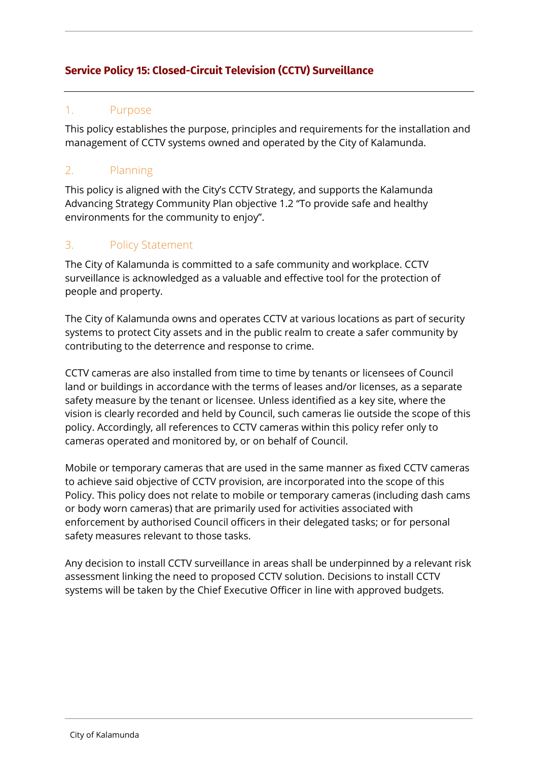# **Service Policy 15: Closed-Circuit Television (CCTV) Surveillance**

## 1. Purpose

This policy establishes the purpose, principles and requirements for the installation and management of CCTV systems owned and operated by the City of Kalamunda.

# 2. Planning

This policy is aligned with the City's CCTV Strategy, and supports the Kalamunda Advancing Strategy Community Plan objective 1.2 "To provide safe and healthy environments for the community to enjoy".

## 3. Policy Statement

The City of Kalamunda is committed to a safe community and workplace. CCTV surveillance is acknowledged as a valuable and effective tool for the protection of people and property.

The City of Kalamunda owns and operates CCTV at various locations as part of security systems to protect City assets and in the public realm to create a safer community by contributing to the deterrence and response to crime.

CCTV cameras are also installed from time to time by tenants or licensees of Council land or buildings in accordance with the terms of leases and/or licenses, as a separate safety measure by the tenant or licensee. Unless identified as a key site, where the vision is clearly recorded and held by Council, such cameras lie outside the scope of this policy. Accordingly, all references to CCTV cameras within this policy refer only to cameras operated and monitored by, or on behalf of Council.

Mobile or temporary cameras that are used in the same manner as fixed CCTV cameras to achieve said objective of CCTV provision, are incorporated into the scope of this Policy. This policy does not relate to mobile or temporary cameras (including dash cams or body worn cameras) that are primarily used for activities associated with enforcement by authorised Council officers in their delegated tasks; or for personal safety measures relevant to those tasks.

Any decision to install CCTV surveillance in areas shall be underpinned by a relevant risk assessment linking the need to proposed CCTV solution. Decisions to install CCTV systems will be taken by the Chief Executive Officer in line with approved budgets.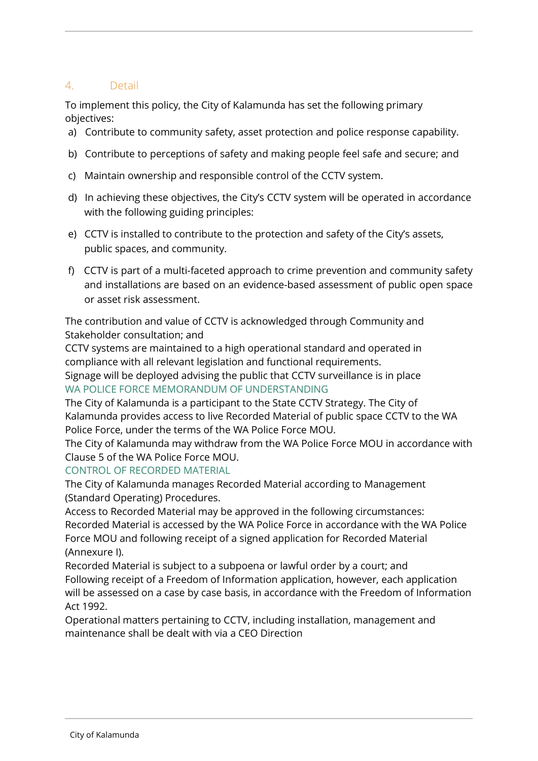# 4. Detail

To implement this policy, the City of Kalamunda has set the following primary objectives:

- a) Contribute to community safety, asset protection and police response capability.
- b) Contribute to perceptions of safety and making people feel safe and secure; and
- c) Maintain ownership and responsible control of the CCTV system.
- d) In achieving these objectives, the City's CCTV system will be operated in accordance with the following guiding principles:
- e) CCTV is installed to contribute to the protection and safety of the City's assets, public spaces, and community.
- f) CCTV is part of a multi-faceted approach to crime prevention and community safety and installations are based on an evidence-based assessment of public open space or asset risk assessment.

The contribution and value of CCTV is acknowledged through Community and Stakeholder consultation; and

CCTV systems are maintained to a high operational standard and operated in compliance with all relevant legislation and functional requirements. Signage will be deployed advising the public that CCTV surveillance is in place WA POLICE FORCE MEMORANDUM OF UNDERSTANDING

The City of Kalamunda is a participant to the State CCTV Strategy. The City of Kalamunda provides access to live Recorded Material of public space CCTV to the WA Police Force, under the terms of the WA Police Force MOU.

The City of Kalamunda may withdraw from the WA Police Force MOU in accordance with Clause 5 of the WA Police Force MOU.

CONTROL OF RECORDED MATERIAL

The City of Kalamunda manages Recorded Material according to Management (Standard Operating) Procedures.

Access to Recorded Material may be approved in the following circumstances: Recorded Material is accessed by the WA Police Force in accordance with the WA Police Force MOU and following receipt of a signed application for Recorded Material (Annexure I).

Recorded Material is subject to a subpoena or lawful order by a court; and Following receipt of a Freedom of Information application, however, each application will be assessed on a case by case basis, in accordance with the Freedom of Information Act 1992.

Operational matters pertaining to CCTV, including installation, management and maintenance shall be dealt with via a CEO Direction